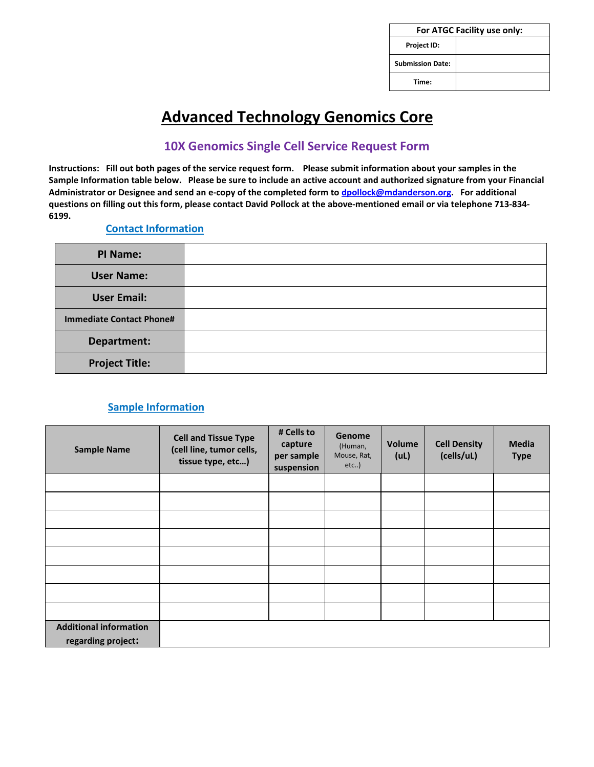| For ATGC Facility use only: |  |  |  |  |
|-----------------------------|--|--|--|--|
| <b>Project ID:</b>          |  |  |  |  |
| <b>Submission Date:</b>     |  |  |  |  |
| Time:                       |  |  |  |  |

# **Advanced Technology Genomics Core**

# **10X Genomics Single Cell Service Request Form**

**Instructions: Fill out both pages of the service request form. Please submit information about your samples in the Sample Information table below. Please be sure to include an active account and authorized signature from your Financial Administrator or Designee and send an e-copy of the completed form to [dpollock@mdanderson.org.](mailto:dpollock@mdanderson.org) For additional questions on filling out this form, please contact David Pollock at the above-mentioned email or via telephone 713-834- 6199.** 

#### **Contact Information**

| <b>PI Name:</b>                 |  |
|---------------------------------|--|
| <b>User Name:</b>               |  |
| <b>User Email:</b>              |  |
| <b>Immediate Contact Phone#</b> |  |
| Department:                     |  |
| <b>Project Title:</b>           |  |

### **Sample Information**

| <b>Sample Name</b>                                  | <b>Cell and Tissue Type</b><br>(cell line, tumor cells,<br>tissue type, etc) | # Cells to<br>capture<br>per sample<br>suspension | <b>Genome</b><br>(Human,<br>Mouse, Rat,<br>$etc.$ ) | <b>Volume</b><br>(UL) | <b>Cell Density</b><br>(cells/uL) | <b>Media</b><br><b>Type</b> |
|-----------------------------------------------------|------------------------------------------------------------------------------|---------------------------------------------------|-----------------------------------------------------|-----------------------|-----------------------------------|-----------------------------|
|                                                     |                                                                              |                                                   |                                                     |                       |                                   |                             |
|                                                     |                                                                              |                                                   |                                                     |                       |                                   |                             |
|                                                     |                                                                              |                                                   |                                                     |                       |                                   |                             |
|                                                     |                                                                              |                                                   |                                                     |                       |                                   |                             |
|                                                     |                                                                              |                                                   |                                                     |                       |                                   |                             |
|                                                     |                                                                              |                                                   |                                                     |                       |                                   |                             |
|                                                     |                                                                              |                                                   |                                                     |                       |                                   |                             |
|                                                     |                                                                              |                                                   |                                                     |                       |                                   |                             |
| <b>Additional information</b><br>regarding project: |                                                                              |                                                   |                                                     |                       |                                   |                             |